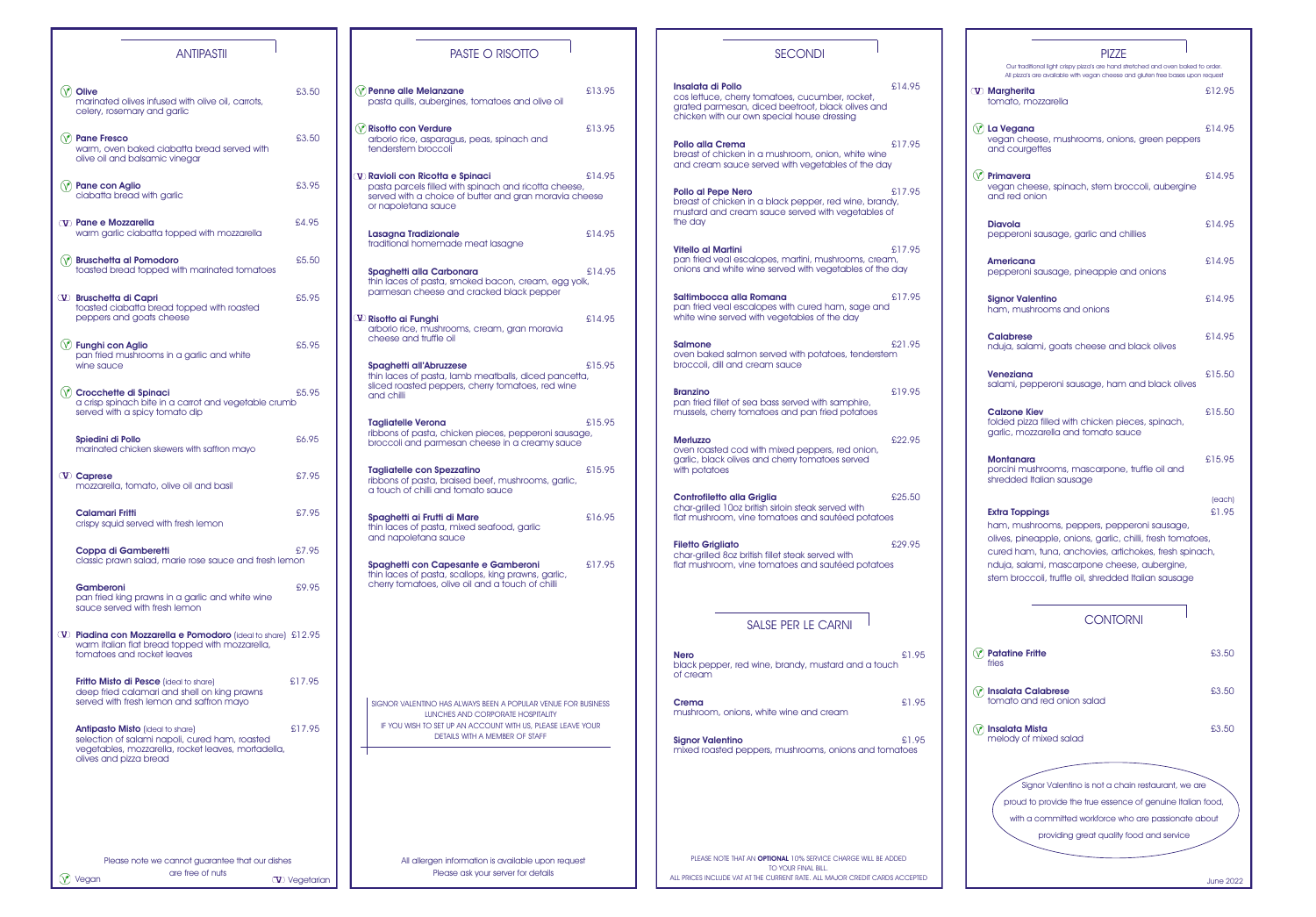are free of nuts

 $\circled{v}$  Vegan are tree of nuts  $\circled{v}$  Vegetarian

# PASTE O RISOTTO

| <b>ANTIPASTII</b>                                                                                                                                                         |        |
|---------------------------------------------------------------------------------------------------------------------------------------------------------------------------|--------|
|                                                                                                                                                                           |        |
| <b>Olive</b><br>marinated olives infused with olive oil, carrots,<br>celery, rosemary and garlic                                                                          | £3.50  |
| <b>Pane Fresco</b><br>warm, oven baked ciabatta bread served with<br>olive oil and balsamic vinegar                                                                       | £3.50  |
| Pane con Aglio<br>ciabatta bread with garlic                                                                                                                              | £3.95  |
| <b>V</b> Pane e Mozzarella<br>warm garlic ciabatta topped with mozzarella                                                                                                 | £4.95  |
| <b>Bruschetta al Pomodoro</b><br>toasted bread topped with marinated tomatoes                                                                                             | £5.50  |
| W Bruschetta di Capri<br>toasted ciabatta bread topped with roasted<br>peppers and goats cheese                                                                           | £5.95  |
| <b>Funghi con Aglio</b><br>pan fried mushrooms in a garlic and white<br>wine sauce                                                                                        | £5.95  |
| <b>Crocchette di Spinaci</b><br>a crisp spinach bite in a carrot and vegetable crumb<br>served with a spicy tomato dip                                                    | £5.95  |
| Spiedini di Pollo<br>marinated chicken skewers with saffron mayo                                                                                                          | £6.95  |
| <b>W</b> Caprese<br>mozzarella, tomato, olive oil and basil                                                                                                               | £7.95  |
| <b>Calamari Fritti</b><br>crispy squid served with fresh lemon                                                                                                            | £7.95  |
| Coppa di Gamberetti<br>classic prawn salad, marie rose sauce and fresh lemon                                                                                              | £7.95  |
| Gamberoni<br>pan fried king prawns in a garlic and white wine<br>squce served with fresh lemon                                                                            | £9.95  |
| W Piadina con Mozzarella e Pomodoro (ideal to share) £12.95<br>warm italian flat bread topped with mozzarella,<br>tomatoes and rocket leaves                              |        |
| <b>Fritto Misto di Pesce</b> (ideal to share)<br>deep fried calamari and shell on king prawns<br>served with fresh lemon and saffron mayo                                 | £17.95 |
| <b>Antipasto Misto</b> (ideal to share)<br>selection of salami napoli, cured ham, roasted<br>vegetables, mozzarella, rocket leaves, mortadella,<br>olives and pizza bread | £17.95 |
|                                                                                                                                                                           |        |
|                                                                                                                                                                           |        |
| Please note we cannot guarantee that our dishes                                                                                                                           |        |

| <b>Penne alle Melanzane</b><br>pasta quills, aubergines, tomatoes and olive oil                                                                                                                            | £13.95 |
|------------------------------------------------------------------------------------------------------------------------------------------------------------------------------------------------------------|--------|
| <b>Risotto con Verdure</b><br>arborio rice, asparagus, peas, spinach and<br>tenderstem broccoli                                                                                                            | £13.95 |
| ${\bf \Psi}$ Ravioli con Ricotta e Spinaci<br>pasta parcels filled with spinach and ricotta cheese,<br>served with a choice of butter and gran moravia cheese<br>or napoletana sauce                       | £14.95 |
| <b>Lasagna Tradizionale</b><br>traditional homemade meat lasagne                                                                                                                                           | £14.95 |
| Spaghetti alla Carbonara<br>thin laces of pasta, smoked bacon, cream, egg yolk,<br>parmesan cheese and cracked black pepper                                                                                | £14.95 |
| ${\bf \Psi}$ Risotto ai Funghi<br>arborio rice, mushrooms, cream, gran moravia<br>cheese and truffle oil                                                                                                   | £14.95 |
| <b>Spaghetti all'Abruzzese</b><br>thin laces of pasta, lamb meatballs, diced pancetta,<br>sliced roasted peppers, cherry tomatoes, red wine<br>and chilli                                                  | £15.95 |
| <b>Tagliatelle Verona</b><br>ribbons of pasta, chicken pieces, pepperoni sausage,<br>broccoli and parmesan cheese in a creamy sauce                                                                        | £15.95 |
| <b>Tagliatelle con Spezzatino</b><br>ribbons of pasta, braised beef, mushrooms, garlic,<br>a touch of chilli and tomato sauce                                                                              | £15.95 |
| Spaghetti ai Frutti di Mare<br>thin laces of pasta, mixed seafood, garlic<br>and napoletana sauce                                                                                                          | £16.95 |
| Spaghetti con Capesante e Gamberoni<br>thin laces of pasta, scallops, king prawns, garlic,<br>cherry tomatoes, olive oil and a touch of chilli                                                             | £17.95 |
|                                                                                                                                                                                                            |        |
|                                                                                                                                                                                                            |        |
| SIGNOR VALENTINO HAS ALWAYS BEEN A POPULAR VENUE FOR BUSINESS<br>LUNCHES AND CORPORATE HOSPITALITY<br>IF YOU WISH TO SET UP AN ACCOUNT WITH US, PLEASE LEAVE YOUR<br><b>DETAILS WITH A MEMBER OF STAFF</b> |        |
|                                                                                                                                                                                                            |        |
|                                                                                                                                                                                                            |        |
|                                                                                                                                                                                                            |        |

All allergen information is available upon request Please ask your server for details

**Ne**<br>blo<br>of c

| <b>SECONDI</b>                                                                                                                                                                  |        |                | <b>PIZZE</b><br>Our traditional light crispy pizza's are hand stretched and oven baked to order.                                                                                                                             |                  |
|---------------------------------------------------------------------------------------------------------------------------------------------------------------------------------|--------|----------------|------------------------------------------------------------------------------------------------------------------------------------------------------------------------------------------------------------------------------|------------------|
|                                                                                                                                                                                 |        |                | All pizza's are available with vegan cheese and gluten free bases upon request                                                                                                                                               |                  |
| <b>Insalata di Pollo</b><br>cos lettuce, cherry tomatoes, cucumber, rocket,<br>grated parmesan, diced beetroot, black olives and<br>chicken with our own special house dressing | £14.95 |                | <b>W</b> Margherita<br>tomato, mozzarella                                                                                                                                                                                    | £12.95           |
| Pollo alla Crema<br>breast of chicken in a mushroom, onion, white wine<br>and cream sauce served with vegetables of the day                                                     | £17.95 | $(\mathsf{V})$ | La Vegana<br>vegan cheese, mushrooms, onions, green peppers<br>and courgettes                                                                                                                                                | £14.95           |
| <b>Pollo al Pepe Nero</b><br>breast of chicken in a black pepper, red wine, brandy,<br>mustard and cream sauce served with vegetables of                                        | £17.95 | $(\vee)$       | Primavera<br>vegan cheese, spinach, stem broccoli, aubergine<br>and red onion                                                                                                                                                | £14.95           |
| the day                                                                                                                                                                         |        |                | <b>Diavola</b><br>pepperoni sausage, garlic and chillies                                                                                                                                                                     | £14.95           |
| <b>Vitello al Martini</b><br>pan fried veal escalopes, martini, mushrooms, cream,<br>onions and white wine served with vegetables of the day                                    | £17.95 |                | <b>Americana</b><br>pepperoni sausage, pineapple and onions                                                                                                                                                                  | £14.95           |
| Saltimbocca alla Romana<br>pan fried veal escalopes with cured ham, sage and<br>white wine served with vegetables of the day                                                    | £17.95 |                | <b>Signor Valentino</b><br>ham, mushrooms and onions                                                                                                                                                                         | £14.95           |
| <b>Salmone</b><br>oven baked salmon served with potatoes, tenderstem<br>broccoli, dill and cream sauce                                                                          | £21.95 |                | <b>Calabrese</b><br>nduja, salami, goats cheese and black olives                                                                                                                                                             | £14.95           |
| <b>Branzino</b>                                                                                                                                                                 | £19.95 |                | <b>Veneziana</b><br>salami, pepperoni sausage, ham and black olives                                                                                                                                                          | £15.50           |
| pan fried fillet of sea bass served with samphire,<br>mussels, cherry tomatoes and pan fried potatoes                                                                           |        |                | <b>Calzone Kiev</b><br>folded pizza filled with chicken pieces, spinach,<br>garlic, mozzarella and tomato sauce                                                                                                              | £15.50           |
| <b>Merluzzo</b><br>oven roasted cod with mixed peppers, red onion,<br>garlic, black olives and cherry tomatoes served<br>with potatoes                                          | £22,95 |                | <b>Montanara</b><br>porcini mushrooms, mascarpone, truffle oil and<br>shredded Italian sausage                                                                                                                               | £15.95           |
| <b>Controfiletto alla Griglia</b><br>char-grilled 10oz british sirloin steak served with<br>flat mushroom, vine tomatoes and sautéed potatoes                                   | £25,50 |                | <b>Extra Toppings</b><br>ham, mushrooms, peppers, pepperoni sausage,                                                                                                                                                         | (each)<br>£1.95  |
| <b>Filetto Grigliato</b><br>char-grilled 8oz british fillet steak served with<br>flat mushroom, vine tomatoes and sautéed potatoes                                              | £29.95 |                | olives, pineapple, onions, garlic, chilli, fresh tomatoes,<br>cured ham, tuna, anchovies, artichokes, fresh spinach,<br>nduja, salami, mascarpone cheese, aubergine,<br>stem broccoli, truffle oil, shredded Italian sausage |                  |
| <b>SALSE PER LE CARNI</b>                                                                                                                                                       |        |                | <b>CONTORNI</b>                                                                                                                                                                                                              |                  |
| <b>Nero</b><br>black pepper, red wine, brandy, mustard and a touch<br>of cream                                                                                                  | £1.95  | $(\vee)$       | <b>Patatine Fritte</b><br>fries                                                                                                                                                                                              | £3.50            |
| Crema<br>mushroom, onions, white wine and cream                                                                                                                                 | £1.95  |                | <b>Insalata Calabrese</b><br>tomato and red onion salad                                                                                                                                                                      | £3.50            |
| <b>Signor Valentino</b><br>mixed roasted peppers, mushrooms, onions and tomatoes                                                                                                | £1.95  |                | $\circledR$ Insalata Mista<br>melody of mixed salad                                                                                                                                                                          | £3.50            |
|                                                                                                                                                                                 |        |                | Signor Valentino is not a chain restaurant, we are<br>proud to provide the true essence of genuine Italian food,<br>with a committed workforce who are passionate about<br>providing great quality food and service          |                  |
| PLEASE NOTE THAT AN OPTIONAL 10% SERVICE CHARGE WILL BE ADDED                                                                                                                   |        |                |                                                                                                                                                                                                                              |                  |
| TO YOUR FINAL BILL.<br>ALL PRICES INCLUDE VAT AT THE CURRENT RATE. ALL MAJOR CREDIT CARDS ACCEPTED                                                                              |        |                |                                                                                                                                                                                                                              | <b>June 2022</b> |

| <b>PI77F</b>                                                                                                                                                                                                                                                                                         |                 |
|------------------------------------------------------------------------------------------------------------------------------------------------------------------------------------------------------------------------------------------------------------------------------------------------------|-----------------|
| Our traditional light crispy pizza's are hand stretched and oven baked to order.<br>All pizza's are available with vegan cheese and gluten free bases upon request                                                                                                                                   |                 |
| $\mathbb D$ Margherita<br>tomato, mozzarella                                                                                                                                                                                                                                                         | £12.95          |
| La Vegana<br>vegan cheese, mushrooms, onions, green peppers<br>and courgettes                                                                                                                                                                                                                        | £14.95          |
| Primavera<br>vegan cheese, spinach, stem broccoli, aubergine<br>and red onion                                                                                                                                                                                                                        | £14.95          |
| <b>Diavola</b><br>pepperoni sausage, garlic and chillies                                                                                                                                                                                                                                             | £14.95          |
| Americana<br>pepperoni sausage, pineapple and onions                                                                                                                                                                                                                                                 | £14.95          |
| <b>Signor Valentino</b><br>ham, mushrooms and onions                                                                                                                                                                                                                                                 | £14.95          |
| Calabrese<br>nduja, salami, goats cheese and black olives                                                                                                                                                                                                                                            | £14.95          |
| <b>Veneziana</b><br>salami, pepperoni sausage, ham and black olives                                                                                                                                                                                                                                  | £15,50          |
| <b>Calzone Kiev</b><br>folded pizza filled with chicken pieces, spinach,<br>garlic, mozzarella and tomato sauce                                                                                                                                                                                      | £15,50          |
| <b>Montanara</b><br>porcini mushrooms, mascarpone, truffle oil and<br>shredded Italian sausage                                                                                                                                                                                                       | £15.95          |
| <b>Extra Toppings</b><br>ham, mushrooms, peppers, pepperoni sausage,<br>olives, pineapple, onions, garlic, chilli, fresh tomatoes,<br>cured ham, tuna, anchovies, artichokes, fresh spinach,<br>nduja, salami, mascarpone cheese, aubergine,<br>stem broccoli, truffle oil, shredded Italian sausage | (each)<br>£1.95 |
| <b>CONTORNI</b>                                                                                                                                                                                                                                                                                      |                 |
| <b>Patatine Fritte</b><br>fries                                                                                                                                                                                                                                                                      | £3,50           |
| <b>Insalata Calabrese</b><br>tomato and red onion salad                                                                                                                                                                                                                                              | £3,50           |
| <b>Insalata Mista</b><br>melody of mixed salad                                                                                                                                                                                                                                                       | £3.50           |
| Signor Valentino is not a chain restaurant, we are<br>proud to provide the true essence of genuine Italian food,<br>with a committed workforce who are passionate about<br>providing great quality food and service                                                                                  |                 |